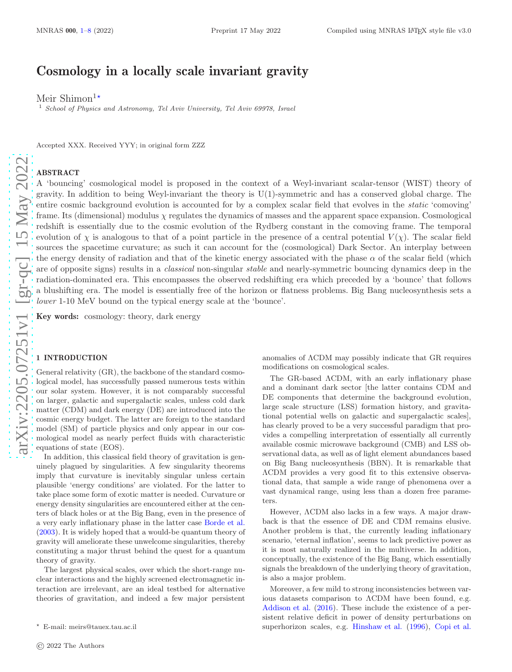# Cosmology in a locally scale invariant gravity

Meir Shimon<sup>1\*</sup>

<sup>1</sup> School of Physics and Astronomy, Tel Aviv University, Tel Aviv 69978, Israel

Accepted XXX. Received YYY; in original form ZZZ

## ABSTRACT

A 'bouncing' cosmological model is proposed in the context of a Weyl-invariant scalar-tensor (WIST) theory of gravity. In addition to being Weyl-invariant the theory is U(1)-symmetric and has a conserved global charge. The entire cosmic background evolution is accounted for by a complex scalar field that evolves in the static 'comoving' frame. Its (dimensional) modulus  $\chi$  regulates the dynamics of masses and the apparent space expansion. Cosmological redshift is essentially due to the cosmic evolution of the Rydberg constant in the comoving frame. The temporal evolution of  $\chi$  is analogous to that of a point particle in the presence of a central potential  $V(\chi)$ . The scalar field sources the spacetime curvature; as such it can account for the (cosmological) Dark Sector. An interplay between the energy density of radiation and that of the kinetic energy associated with the phase  $\alpha$  of the scalar field (which are of opposite signs) results in a *classical* non-singular *stable* and nearly-symmetric bouncing dynamics deep in the radiation-dominated era. This encompasses the observed redshifting era which preceded by a 'bounce' that follows a blushifting era. The model is essentially free of the horizon or flatness problems. Big Bang nucleosynthesis sets a lower 1-10 MeV bound on the typical energy scale at the 'bounce'.

Key words: cosmology: theory, dark energy

## <span id="page-0-0"></span>1 INTRODUCTION

General relativity (GR), the backbone of the standard cosmological model, has successfully passed numerous tests within our solar system. However, it is not comparably successful on larger, galactic and supergalactic scales, unless cold dark matter (CDM) and dark energy (DE) are introduced into the cosmic energy budget. The latter are foreign to the standard model (SM) of particle physics and only appear in our cosmological model as nearly perfect fluids with characteristic equations of state (EOS).

In addition, this classical field theory of gravitation is genuinely plagued by singularities. A few singularity theorems imply that curvature is inevitably singular unless certain plausible 'energy conditions' are violated. For the latter to take place some form of exotic matter is needed. Curvature or energy density singularities are encountered either at the centers of black holes or at the Big Bang, even in the presence of a very early inflationary phase in the latter case Borde et al. (2003). It is widely hoped that a would-be quantum theory of gravity will ameliorate these unwelcome singularities, thereby constituting a major thrust behind the quest for a quantum theory of gravity.

The largest physical scales, over which the short-range nuclear interactions and the highly screened electromagnetic interaction are irrelevant, are an ideal testbed for alternative theories of gravitation, and indeed a few major persistent anomalies of ΛCDM may possibly indicate that GR requires modifications on cosmological scales.

The GR-based ΛCDM, with an early inflationary phase and a dominant dark sector [the latter contains CDM and DE components that determine the background evolution, large scale structure (LSS) formation history, and gravita tional potential wells on galactic and supergalactic scales], has clearly proved to be a very successful paradigm that provides a compelling interpretation of essentially all currently available cosmic microwave background (CMB) and LSS observational data, as well as of light element abundances based on Big Bang nucleosynthesis (BBN). It is remarkable that ΛCDM provides a very good fit to this extensive observational data, that sample a wide range of phenomena over a vast dynamical range, using less than a dozen free parameters.

However, ΛCDM also lacks in a few ways. A major drawback is that the essence of DE and CDM remains elusive. Another problem is that, the currently leading inflationary scenario, 'eternal inflation', seems to lack predictive power as it is most naturally realized in the multiverse. In addition , conceptually, the existence of the Big Bang, which essentially signals the breakdown of the underlying theory of gravitation, is also a major problem.

Moreover, a few mild to strong inconsistencies between various datasets comparison to ΛCDM have been found, e.g. Addison et al. (2016). These include the existence of a persistent relative deficit in power of density perturbations on superhorizon scales, e.g. Hinshaw et al. (1996), Copi et al.

<sup>⋆</sup> E-mail: meirs@tauex.tau.ac.il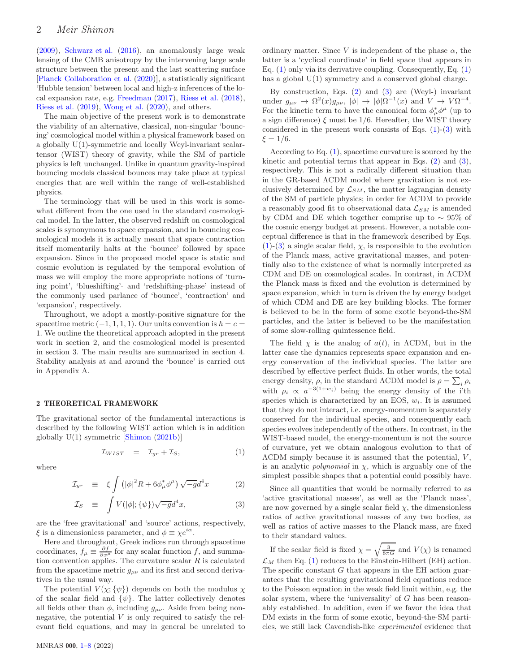(2009), Schwarz et al. (2016), an anomalously large weak lensing of the CMB anisotropy by the intervening large scale structure between the present and the last scattering surface [Planck Collaboration et al. (2020)], a statistically significant 'Hubble tension' between local and high-z inferences of the local expansion rate, e.g. [Freedman](#page-7-1) [\(2017](#page-7-1)), Riess et al. (2018), Riess et al. (2019), Wong et al. (2020), and others.

The main objective of the present work is to demonstrate the viability of an alternative, classical, non-singular 'bouncing' cosmological model within a physical framework based on a globally U(1)-symmetric and locally Weyl-invariant scalartensor (WIST) theory of gravity, while the SM of particle physics is left unchanged. Unlike in quantum gravity-inspired bouncing models classical bounces may take place at typical energies that are well within the range of well-established physics.

The terminology that will be used in this work is somewhat different from the one used in the standard cosmological model. In the latter, the observed redshift on cosmological scales is synonymous to space expansion, and in bouncing cosmological models it is actually meant that space contraction itself momentarily halts at the 'bounce' followed by space expansion. Since in the proposed model space is static and cosmic evolution is regulated by the temporal evolution of mass we will employ the more appropriate notions of 'turning point', 'blueshifting'- and 'redshifting-phase' instead of the commonly used parlance of 'bounce', 'contraction' and 'expansion', respectively.

Throughout, we adopt a mostly-positive signature for the spacetime metric  $(-1, 1, 1, 1)$ . Our units convention is  $\hbar = c =$ 1. We outline the theoretical approach adopted in the present work in section 2, and the cosmological model is presented in section 3. The main results are summarized in section 4. Stability analysis at and around the 'bounce' is carried out in Appendix A.

## 2 THEORETICAL FRAMEWORK

The gravitational sector of the fundamental interactions is described by the following WIST action which is in addition globally U(1) symmetric [\[Shimon](#page-7-2) [\(2021b](#page-7-2))]

<span id="page-1-0"></span>
$$
\mathcal{I}_{WIST} = \mathcal{I}_{gr} + \mathcal{I}_S, \tag{1}
$$

where

<span id="page-1-1"></span>
$$
\mathcal{I}_{gr} \equiv \xi \int \left( |\phi|^2 R + 6 \phi_\mu^* \phi^\mu \right) \sqrt{-g} d^4 x \tag{2}
$$

$$
\mathcal{I}_S \equiv \int V(|\phi|; \{\psi\}) \sqrt{-g} d^4 x,\tag{3}
$$

are the 'free gravitational' and 'source' actions, respectively,  $\xi$  is a dimensionless parameter, and  $\phi \equiv \chi e^{i\alpha}$ .

Here and throughout, Greek indices run through spacetime coordinates,  $f_{\mu} \equiv \frac{\partial f}{\partial x^{\mu}}$  for any scalar function f, and summation convention applies. The curvature scalar  $R$  is calculated from the spacetime metric  $g_{\mu\nu}$  and its first and second derivatives in the usual way.

The potential  $V(\chi;\{\psi\})$  depends on both the modulus  $\chi$ of the scalar field and  $\{\psi\}$ . The latter collectively denotes all fields other than  $\phi$ , including  $g_{\mu\nu}$ . Aside from being nonnegative, the potential  $V$  is only required to satisfy the relevant field equations, and may in general be unrelated to ordinary matter. Since V is independent of the phase  $\alpha$ , the latter is a 'cyclical coordinate' in field space that appears in Eq.  $(1)$  only via its derivative coupling. Consequently, Eq.  $(1)$ has a global  $U(1)$  symmetry and a conserved global charge.

By construction, Eqs. [\(2\)](#page-1-1) and [\(3\)](#page-1-1) are (Weyl-) invariant under  $g_{\mu\nu} \to \Omega^2(x) g_{\mu\nu}, |\phi| \to |\phi| \Omega^{-1}(x)$  and  $V \to V \Omega^{-4}$ . For the kinetic term to have the canonical form  $\phi^*_{\mu} \phi^{\mu}$  (up to a sign difference)  $\xi$  must be 1/6. Hereafter, the WIST theory considered in the present work consists of Eqs.  $(1)-(3)$  $(1)-(3)$  with  $\xi = 1/6$ .

According to Eq. [\(1\)](#page-1-0), spacetime curvature is sourced by the kinetic and potential terms that appear in Eqs. [\(2\)](#page-1-1) and [\(3\)](#page-1-1), respectively. This is not a radically different situation than in the GR-based ΛCDM model where gravitation is not exclusively determined by  $\mathcal{L}_{SM}$ , the matter lagrangian density of the SM of particle physics; in order for ΛCDM to provide a reasonably good fit to observational data  $\mathcal{L}_{SM}$  is amended by CDM and DE which together comprise up to ∼ 95% of the cosmic energy budget at present. However, a notable conceptual difference is that in the framework described by Eqs.  $(1)-(3)$  $(1)-(3)$  $(1)-(3)$  a single scalar field,  $\chi$ , is responsible to the evolution of the Planck mass, active gravitational masses, and potentially also to the existence of what is normally interpreted as CDM and DE on cosmological scales. In contrast, in ΛCDM the Planck mass is fixed and the evolution is determined by space expansion, which in turn is driven the by energy budget of which CDM and DE are key building blocks. The former is believed to be in the form of some exotic beyond-the-SM particles, and the latter is believed to be the manifestation of some slow-rolling quintessence field.

The field  $\chi$  is the analog of  $a(t)$ , in  $\Lambda$ CDM, but in the latter case the dynamics represents space expansion and energy conservation of the individual species. The latter are described by effective perfect fluids. In other words, the total energy density,  $\rho$ , in the standard  $\Lambda$ CDM model is  $\rho = \sum_i \rho_i$ with  $\rho_i \propto a^{-3(1+w_i)}$  being the energy density of the i'th species which is characterized by an EOS,  $w_i$ . It is assumed that they do not interact, i.e. energy-momentum is separately conserved for the individual species, and consequently each species evolves independently of the others. In contrast, in the WIST-based model, the energy-momentum is not the source of curvature, yet we obtain analogous evolution to that of  $\Lambda$ CDM simply because it is assumed that the potential,  $V$ , is an analytic *polynomial* in  $\chi$ , which is arguably one of the simplest possible shapes that a potential could possibly have.

Since all quantities that would be normally referred to as 'active gravitational masses', as well as the 'Planck mass', are now governed by a single scalar field  $\chi$ , the dimensionless ratios of active gravitational masses of any two bodies, as well as ratios of active masses to the Planck mass, are fixed to their standard values.

If the scalar field is fixed  $\chi = \sqrt{\frac{3}{8\pi G}}$  and  $V(\chi)$  is renamed  $\mathcal{L}_M$  then Eq. [\(1\)](#page-1-0) reduces to the Einstein-Hilbert (EH) action. The specific constant G that appears in the EH action guarantees that the resulting gravitational field equations reduce to the Poisson equation in the weak field limit within, e.g. the solar system, where the 'universality' of  $G$  has been reasonably established. In addition, even if we favor the idea that DM exists in the form of some exotic, beyond-the-SM particles, we still lack Cavendish-like experimental evidence that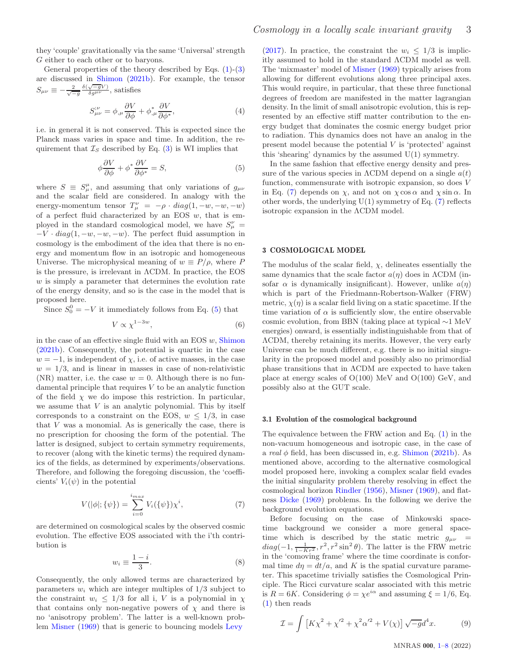they 'couple' gravitationally via the same 'Universal' strength G either to each other or to baryons.

General properties of the theory described by Eqs. [\(1\)](#page-1-0)-[\(3\)](#page-1-1) are discussed in [Shimon](#page-7-2) [\(2021b](#page-7-2)). For example, the tensor  $S_{\mu\nu} \equiv -\frac{2}{\sqrt{-g}} \frac{\delta(\sqrt{-g}V)}{\delta g^{\mu\nu}}$ , satisfies

$$
S^{\mu}_{\mu\nu} = \phi_{,\mu} \frac{\partial V}{\partial \phi} + \phi_{,\mu}^* \frac{\partial V}{\partial \phi^*},\tag{4}
$$

i.e. in general it is not conserved. This is expected since the Planck mass varies in space and time. In addition, the requirement that  $\mathcal{I}_S$  described by Eq. [\(3\)](#page-1-1) is WI implies that

<span id="page-2-0"></span>
$$
\phi \frac{\partial V}{\partial \phi} + \phi^* \frac{\partial V}{\partial \phi^*} = S,\tag{5}
$$

where  $S \equiv S^{\mu}_{\mu}$ , and assuming that only variations of  $g_{\mu\nu}$ and the scalar field are considered. In analogy with the energy-momentum tensor  $T^{\nu}_{\mu} = -\rho \cdot diag(1, -w, -w, -w)$ of a perfect fluid characterized by an EOS  $w$ , that is employed in the standard cosmological model, we have  $S^{\nu}_{\mu}$  =  $-V \cdot diag(1,-w,-w,-w)$ . The perfect fluid assumption in cosmology is the embodiment of the idea that there is no energy and momentum flow in an isotropic and homogeneous Universe. The microphysical meaning of  $w \equiv P/\rho$ , where P is the pressure, is irrelevant in ΛCDM. In practice, the EOS  $w$  is simply a parameter that determines the evolution rate of the energy density, and so is the case in the model that is proposed here.

Since  $S_0^0 = -V$  it immediately follows from Eq. [\(5\)](#page-2-0) that

<span id="page-2-2"></span>
$$
V \propto \chi^{1-3w},\tag{6}
$$

in the case of an effective single fluid with an EOS  $w$ , [Shimon](#page-7-2) [\(2021b](#page-7-2)). Consequently, the potential is quartic in the case  $w = -1$ , is independent of  $\chi$ , i.e. of active masses, in the case  $w = 1/3$ , and is linear in masses in case of non-relativistic (NR) matter, i.e. the case  $w = 0$ . Although there is no fundamental principle that requires  $V$  to be an analytic function of the field  $\chi$  we do impose this restriction. In particular, we assume that  $V$  is an analytic polynomial. This by itself corresponds to a constraint on the EOS,  $w \leq 1/3$ , in case that  $V$  was a monomial. As is generically the case, there is no prescription for choosing the form of the potential. The latter is designed, subject to certain symmetry requirements, to recover (along with the kinetic terms) the required dynamics of the fields, as determined by experiments/observations. Therefore, and following the foregoing discussion, the 'coefficients'  $V_i(\psi)$  in the potential

<span id="page-2-1"></span>
$$
V(|\phi|; \{\psi\}) = \sum_{i=0}^{i_{max}} V_i(\{\psi\}) \chi^i,
$$
 (7)

are determined on cosmological scales by the observed cosmic evolution. The effective EOS associated with the i'th contribution is

<span id="page-2-3"></span>
$$
w_i \equiv \frac{1-i}{3}.\tag{8}
$$

Consequently, the only allowed terms are characterized by parameters  $w_i$  which are integer multiples of  $1/3$  subject to the constraint  $w_i \leq 1/3$  for all i, V is a polynomial in  $\chi$ that contains only non-negative powers of  $\chi$  and there is no 'anisotropy problem'. The latter is a well-known problem [Misner](#page-7-3) [\(1969](#page-7-3)) that is generic to bouncing models [Levy](#page-7-4)

[\(2017](#page-7-4)). In practice, the constraint the  $w_i \leq 1/3$  is implicitly assumed to hold in the standard ΛCDM model as well. The 'mixmaster' model of [Misner](#page-7-3) [\(1969\)](#page-7-3) typically arises from allowing for different evolutions along three principal axes. This would require, in particular, that these three functional degrees of freedom are manifested in the matter lagrangian density. In the limit of small anisotropic evolution, this is represented by an effective stiff matter contribution to the energy budget that dominates the cosmic energy budget prior to radiation. This dynamics does not have an analog in the present model because the potential  $V$  is 'protected' against this 'shearing' dynamics by the assumed U(1) symmetry.

In the same fashion that effective energy density and pressure of the various species in  $\Lambda$ CDM depend on a single  $a(t)$ function, commensurate with isotropic expansion, so does V in Eq. [\(7\)](#page-2-1) depends on  $\chi$ , and not on  $\chi \cos \alpha$  and  $\chi \sin \alpha$ . In other words, the underlying  $U(1)$  symmetry of Eq.  $(7)$  reflects isotropic expansion in the ΛCDM model.

#### 3 COSMOLOGICAL MODEL

The modulus of the scalar field,  $\chi$ , delineates essentially the same dynamics that the scale factor  $a(\eta)$  does in  $\Lambda$ CDM (insofar  $\alpha$  is dynamically insignificant). However, unlike  $a(\eta)$ which is part of the Friedmann-Robertson-Walker (FRW) metric,  $\chi(\eta)$  is a scalar field living on a static spacetime. If the time variation of  $\alpha$  is sufficiently slow, the entire observable cosmic evolution, from BBN (taking place at typical ∼1 MeV energies) onward, is essentially indistinguishable from that of ΛCDM, thereby retaining its merits. However, the very early Universe can be much different, e.g. there is no initial singularity in the proposed model and possibly also no primordial phase transitions that in ΛCDM are expected to have taken place at energy scales of O(100) MeV and O(100) GeV, and possibly also at the GUT scale.

#### 3.1 Evolution of the cosmological background

The equivalence between the FRW action and Eq. [\(1\)](#page-1-0) in the non-vacuum homogeneous and isotropic case, in the case of a real  $\phi$  field, has been discussed in, e.g. [Shimon](#page-7-2) [\(2021b](#page-7-2)). As mentioned above, according to the alternative cosmological model proposed here, invoking a complex scalar field evades the initial singularity problem thereby resolving in effect the cosmological horizon [Rindler](#page-7-5) [\(1956\)](#page-7-5), [Misner](#page-7-3) [\(1969](#page-7-3)), and flatness [Dicke](#page-7-6) [\(1969](#page-7-6)) problems. In the following we derive the background evolution equations.

Before focusing on the case of Minkowski spacetime background we consider a more general spacetime which is described by the static metric  $g_{\mu\nu}$  =  $diag(-1, \frac{1}{1-Kr^2}, r^2, r^2 \sin^2 \theta)$ . The latter is the FRW metric in the 'comoving frame' where the time coordinate is conformal time  $d\eta = dt/a$ , and K is the spatial curvature parameter. This spacetime trivially satisfies the Cosmological Principle. The Ricci curvature scalar associated with this metric is  $R = 6K$ . Considering  $\phi = \chi e^{i\alpha}$  and assuming  $\xi = 1/6$ , Eq. [\(1\)](#page-1-0) then reads

<span id="page-2-4"></span>
$$
\mathcal{I} = \int \left[ K \chi^2 + {\chi'}^2 + {\chi^2} {\alpha'}^2 + V(\chi) \right] \sqrt{-g} d^4 x. \tag{9}
$$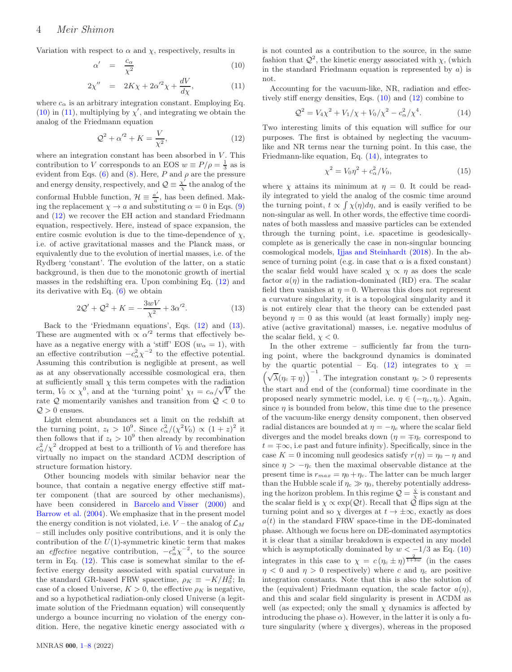Variation with respect to  $\alpha$  and  $\chi$ , respectively, results in

<span id="page-3-0"></span>
$$
\alpha' = \frac{c_{\alpha}}{\chi^2} \tag{10}
$$

$$
2\chi'' = 2K\chi + 2\alpha'^2\chi + \frac{dV}{d\chi},\tag{11}
$$

where  $c_{\alpha}$  is an arbitrary integration constant. Employing Eq.  $(10)$  in  $(11)$ , multiplying by  $\chi'$ , and integrating we obtain the analog of the Friedmann equation

<span id="page-3-1"></span>
$$
\mathcal{Q}^2 + \alpha'^2 + K = \frac{V}{\chi^2},\tag{12}
$$

where an integration constant has been absorbed in  $V$ . This contribution to V corresponds to an EOS  $w \equiv P/\rho = \frac{1}{3}$  as is evident from Eqs. [\(6\)](#page-2-2) and [\(8\)](#page-2-3). Here,  $P$  and  $\rho$  are the pressure and energy density, respectively, and  $\mathcal{Q} \equiv \frac{\chi'}{\chi}$  $\frac{X}{X}$  the analog of the conformal Hubble function,  $\mathcal{H} \equiv \frac{a'}{a}$  $\frac{a}{a}$ , has been defined. Making the replacement  $\chi \to a$  and substituting  $\alpha = 0$  in Eqs. [\(9\)](#page-2-4) and [\(12\)](#page-3-1) we recover the EH action and standard Friedmann equation, respectively. Here, instead of space expansion, the entire cosmic evolution is due to the time-dependence of  $\chi$ , i.e. of active gravitational masses and the Planck mass, or equivalently due to the evolution of inertial masses, i.e. of the Rydberg 'constant'. The evolution of the latter, on a static background, is then due to the monotonic growth of inertial masses in the redshifting era. Upon combining Eq. [\(12\)](#page-3-1) and its derivative with Eq. [\(6\)](#page-2-2) we obtain

<span id="page-3-2"></span>
$$
2\mathcal{Q}' + \mathcal{Q}^2 + K = -\frac{3wV}{\chi^2} + 3\alpha'^2.
$$
 (13)

Back to the 'Friedmann equations', Eqs. [\(12\)](#page-3-1) and [\(13\)](#page-3-2). These are augmented with  $\propto \alpha'^2$  terms that effectively behave as a negative energy with a 'stiff' EOS  $(w_\alpha = 1)$ , with an effective contribution  $-c_{\alpha}^{2}\chi^{-2}$  to the effective potential. Assuming this contribution is negligible at present, as well as at any observationally accessible cosmological era, then at sufficiently small  $\chi$  this term competes with the radiation term,  $V_0 \propto \chi^0$ , and at the 'turning point'  $\chi_t = c_\alpha/\sqrt{V}$  the rate  $Q$  momentarily vanishes and transition from  $Q < 0$  to  $Q > 0$  ensues.

Light element abundances set a limit on the redshift at the turning point,  $z_t > 10^9$ . Since  $c_\alpha^2/(\chi^2 V_0) \propto (1+z)^2$  it then follows that if  $z_t > 10^9$  then already by recombination  $c_{\alpha}^2/\chi^2$  dropped at best to a trillionth of  $V_0$  and therefore has virtually no impact on the standard ΛCDM description of structure formation history.

Other bouncing models with similar behavior near the bounce, that contain a negative energy effective stiff matter component (that are sourced by other mechanisms), have been considered in Barcelo and Visser (2000) and Barrow et al. (2004). We emphasize that in the present model the energy condition is not violated, i.e.  $V$  – the analog of  $\mathcal{L}_M$ – still includes only positive contributions, and it is only the contribution of the  $U(1)$ -symmetric kinetic term that makes an *effective* negative contribution,  $-c_{\alpha}^{2}\chi^{-2}$ , to the source term in Eq. [\(12\)](#page-3-1). This case is somewhat similar to the effective energy density associated with spatial curvature in the standard GR-based FRW spacetime,  $\rho_K \equiv -K/H_0^2$ ; In case of a closed Universe,  $K > 0$ , the effective  $\rho_K$  is negative, and so a hypothetical radiation-only closed Universe (a legitimate solution of the Friedmann equation) will consequently undergo a bounce incurring no violation of the energy condition. Here, the negative kinetic energy associated with  $\alpha$  is not counted as a contribution to the source, in the same fashion that  $Q^2$ , the kinetic energy associated with  $\chi$ , (which in the standard Friedmann equation is represented by  $a$ ) is not.

Accounting for the vacuum-like, NR, radiation and effectively stiff energy densities, Eqs. [\(10\)](#page-3-0) and [\(12\)](#page-3-1) combine to

<span id="page-3-3"></span>
$$
Q^{2} = V_{4}\chi^{2} + V_{1}/\chi + V_{0}/\chi^{2} - c_{\alpha}^{2}/\chi^{4}.
$$
 (14)

Two interesting limits of this equation will suffice for our purposes. The first is obtained by neglecting the vacuumlike and NR terms near the turning point. In this case, the Friedmann-like equation, Eq. [\(14\)](#page-3-3), integrates to

<span id="page-3-4"></span>
$$
\chi^2 = V_0 \eta^2 + c_\alpha^2 / V_0,\tag{15}
$$

where  $\chi$  attains its minimum at  $\eta = 0$ . It could be readily integrated to yield the analog of the cosmic time around the turning point,  $t \propto \int \chi(\eta) d\eta$ , and is easily verified to be non-singular as well. In other words, the effective time coordinates of both massless and massive particles can be extended through the turning point, i.e. spacetime is geodesicallycomplete as is generically the case in non-singular bouncing cosmological models, Ijjas and Steinhardt (2018). In the absence of turning point (e.g. in case that  $\alpha$  is a fixed constant) the scalar field would have scaled  $\chi \propto \eta$  as does the scale factor  $a(\eta)$  in the radiation-dominated (RD) era. The scalar field then vanishes at  $\eta = 0$ . Whereas this does not represent a curvature singularity, it is a topological singularity and it is not entirely clear that the theory can be extended past beyond  $\eta = 0$  as this would (at least formally) imply negative (active gravitational) masses, i.e. negative modulus of the scalar field,  $\chi$  < 0.

In the other extreme – sufficiently far from the turning point, where the background dynamics is dominated by the quartic potential – Eq. [\(12\)](#page-3-1) integrates to  $\chi =$  $(\sqrt{\lambda}(\eta_c \mp \eta))$ <sup>-1</sup>. The integration constant  $\eta_c > 0$  represents the start and end of the (conformal) time coordinate in the proposed nearly symmetric model, i.e.  $\eta \in (-\eta_c, \eta_c)$ . Again, since  $\eta$  is bounded from below, this time due to the presence of the vacuum-like energy density component, then observed radial distances are bounded at  $\eta = -\eta_c$  where the scalar field diverges and the model breaks down ( $\eta = \mp \eta_c$  correspond to  $t = \pm \infty$ , i.e past and future infinity). Specifically, since in the case  $K = 0$  incoming null geodesics satisfy  $r(\eta) = \eta_0 - \eta$  and since  $\eta > -\eta_c$  then the maximal observable distance at the present time is  $r_{max} = \eta_0 + \eta_c$ . The latter can be much larger than the Hubble scale if  $\eta_c \gg \eta_0$ , thereby potentially addressing the horizon problem. In this regime  $\mathcal{Q} = \frac{\dot{x}}{x}$  is constant and the scalar field is  $\chi \propto \exp(2t)$ . Recall that  $\hat{\mathcal{Q}}$  flips sign at the turning point and so  $\chi$  diverges at  $t \to \pm \infty$ , exactly as does  $a(t)$  in the standard FRW space-time in the DE-dominated phase. Although we focus here on DE-dominated asymptotics it is clear that a similar breakdown is expected in any model which is asymptotically dominated by  $w < -1/3$  as Eq. [\(10\)](#page-3-0) integrates in this case to  $\chi = c (n_c \pm n)^{\frac{2}{1+3w}}$  (in the cases  $\eta$  < 0 and  $\eta$  > 0 respectively) where c and  $\eta_c$  are positive integration constants. Note that this is also the solution of the (equivalent) Friedmann equation, the scale factor  $a(\eta)$ , and this and scalar field singularity is present in ΛCDM as well (as expected; only the small  $\chi$  dynamics is affected by introducing the phase  $\alpha$ ). However, in the latter it is only a future singularity (where  $\chi$  diverges), whereas in the proposed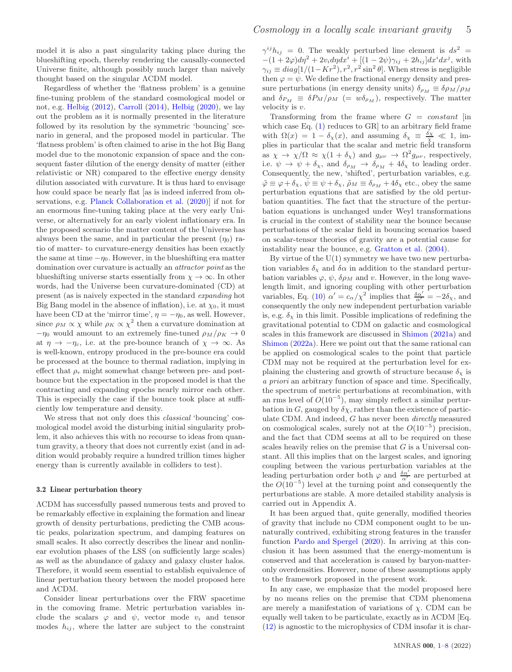model it is also a past singularity taking place during the blueshifting epoch, thereby rendering the causally-connected Universe finite, although possibly much larger than naively thought based on the singular ΛCDM model.

Regardless of whether the 'flatness problem' is a genuine fine-tuning problem of the standard cosmological model or not, e.g. [Helbig](#page-7-7) [\(2012](#page-7-7)), [Carroll](#page-7-8) [\(2014\)](#page-7-8), [Helbig](#page-7-9) [\(2020\)](#page-7-9), we lay out the problem as it is normally presented in the literature followed by its resolution by the symmetric 'bouncing' scenario in general, and the proposed model in particular. The 'flatness problem' is often claimed to arise in the hot Big Bang model due to the monotonic expansion of space and the consequent faster dilution of the energy density of matter (either relativistic or NR) compared to the effective energy density dilution associated with curvature. It is thus hard to envisage how could space be nearly flat [as is indeed inferred from observations, e.g. Planck Collaboration et al. (2020)] if not for an enormous fine-tuning taking place at the very early Universe, or alternatively for an early violent inflationary era. In the proposed scenario the matter content of the Universe has always been the same, and in particular the present  $(\eta_0)$  ratio of matter- to curvature-energy densities has been exactly the same at time  $-\eta_0$ . However, in the blueshifting era matter domination over curvature is actually an attractor point as the blueshifting universe starts essentially from  $\chi \to \infty$ . In other words, had the Universe been curvature-dominated (CD) at present (as is naively expected in the standard expanding hot Big Bang model in the absence of inflation), i.e. at  $\chi_0$ , it must have been CD at the 'mirror time',  $\eta = -\eta_0$ , as well. However, since  $\rho_M \propto \chi$  while  $\rho_K \propto \chi^2$  then a curvature domination at  $-\eta_0$  would amount to an extremely fine-tuned  $\rho_M/\rho_K \to 0$ at  $\eta \to -\eta_c$ , i.e. at the pre-bounce branch of  $\chi \to \infty$ . As is well-known, entropy produced in the pre-bounce era could be processed at the bounce to thermal radiation, implying in effect that  $\rho_r$  might somewhat change between pre- and postbounce but the expectation in the proposed model is that the contracting and expanding epochs nearly mirror each other. This is especially the case if the bounce took place at sufficiently low temperature and density.

We stress that not only does this *classical* 'bouncing' cosmological model avoid the disturbing initial singularity problem, it also achieves this with no recourse to ideas from quantum gravity, a theory that does not currently exist (and in addition would probably require a hundred trillion times higher energy than is currently available in colliders to test).

#### 3.2 Linear perturbation theory

ΛCDM has successfully passed numerous tests and proved to be remarkably effective in explaining the formation and linear growth of density perturbations, predicting the CMB acoustic peaks, polarization spectrum, and damping features on small scales. It also correctly describes the linear and nonlinear evolution phases of the LSS (on sufficiently large scales) as well as the abundance of galaxy and galaxy cluster halos. Therefore, it would seem essential to establish equivalence of linear perturbation theory between the model proposed here and ΛCDM.

Consider linear perturbations over the FRW spacetime in the comoving frame. Metric perturbation variables include the scalars  $\varphi$  and  $\psi$ , vector mode  $v_i$  and tensor modes  $h_{ij}$ , where the latter are subject to the constraint

 $\gamma^{ij} h_{ij} = 0$ . The weakly perturbed line element is  $ds^2 =$  $-(1+2\varphi)d\eta^2+2v_i d\eta dx^i + \left[(1-2\psi)\gamma_{ij}+2h_{ij}\right]dx^i dx^j$ , with  $\gamma_{ij} \equiv diag[1/(1-Kr^2), r^2, r^2 \sin^2 \theta]$ . When stress is negligible then  $\varphi = \psi$ . We define the fractional energy density and pressure perturbations (in energy density units)  $\delta_{\rho_M} \equiv \delta \rho_M / \rho_M$ and  $\delta_{P_M} \equiv \delta P_M / \rho_M$  (=  $w \delta_{\rho_M}$ ), respectively. The matter velocity is v.

Transforming from the frame where  $G = constant$  [in which case Eq. [\(1\)](#page-1-0) reduces to GR] to an arbitrary field frame with  $\Omega(x) = 1 - \delta_{\chi}(x)$ , and assuming  $\delta_{\chi} \equiv \frac{\delta_{\chi}}{\chi} \ll 1$ , implies in particular that the scalar and metric field transform as  $\chi \to \chi/\Omega \approx \chi(1+\delta_{\chi})$  and  $g_{\mu\nu} \to \Omega^2 g_{\mu\nu}$ , respectively, i.e.  $\psi \to \psi + \delta_{\chi}$ , and  $\delta_{\rho_M} \to \delta_{\rho_M} + 4\delta_{\chi}$  to leading order. Consequently, the new, 'shifted', perturbation variables, e.g.  $\tilde{\varphi} \equiv \varphi + \delta_{\chi}, \ \tilde{\psi} \equiv \psi + \delta_{\chi}, \ \tilde{\rho}_M \equiv \delta_{\rho_M} + 4\delta_{\chi}$  etc., obey the same perturbation equations that are satisfied by the old perturbation quantities. The fact that the structure of the perturbation equations is unchanged under Weyl transformations is crucial in the context of stability near the bounce because perturbations of the scalar field in bouncing scenarios based on scalar-tensor theories of gravity are a potential cause for instability near the bounce, e.g. Gratton et al. (2004).

By virtue of the  $U(1)$  symmetry we have two new perturbation variables  $\delta_{\chi}$  and  $\delta \alpha$  in addition to the standard perturbation variables  $\varphi$ ,  $\psi$ ,  $\delta \rho_M$  and v. However, in the long wavelength limit, and ignoring coupling with other perturbation variables, Eq. [\(10\)](#page-3-0)  $\alpha' = c_{\alpha}/\chi^2$  implies that  $\frac{\delta \alpha'}{\alpha'} = -2\delta_{\chi}$ , and consequently the only new independent perturbation variable is, e.g.  $\delta_{\gamma}$  in this limit. Possible implications of redefining the gravitational potential to CDM on galactic and cosmological scales in this framework are discussed in [Shimon](#page-7-10) [\(2021a](#page-7-10)) and [Shimon](#page-7-11) [\(2022a](#page-7-11)). Here we point out that the same rational can be applied on cosmological scales to the point that particle CDM may not be required at the perturbation level for explaining the clustering and growth of structure because  $\delta_{\chi}$  is a priori an arbitrary function of space and time. Specifically, the spectrum of metric perturbations at recombination, with an rms level of  $O(10^{-5})$ , may simply reflect a similar perturbation in G, gauged by  $\delta \chi$ , rather than the existence of particulate CDM. And indeed, G has never been directly measured on cosmological scales, surely not at the  $O(10^{-5})$  precision, and the fact that CDM seems at all to be required on these scales heavily relies on the premise that  $G$  is a Universal constant. All this implies that on the largest scales, and ignoring coupling between the various perturbation variables at the leading perturbation order both  $\varphi$  and  $\frac{\delta \alpha'}{\alpha'}$  are perturbed at the  $O(10^{-5})$  level at the turning point and consequently the perturbations are stable. A more detailed stability analysis is carried out in Appendix A.

It has been argued that, quite generally, modified theories of gravity that include no CDM component ought to be unnaturally contrived, exhibiting strong features in the transfer function Pardo and Spergel (2020). In arriving at this conclusion it has been assumed that the energy-momentum is conserved and that acceleration is caused by baryon-matteronly overdensities. However, none of these assumptions apply to the framework proposed in the present work.

In any case, we emphasize that the model proposed here by no means relies on the premise that CDM phenomena are merely a manifestation of variations of  $\chi$ . CDM can be equally well taken to be particulate, exactly as in ΛCDM [Eq. [\(12\)](#page-3-1) is agnostic to the microphysics of CDM insofar it is char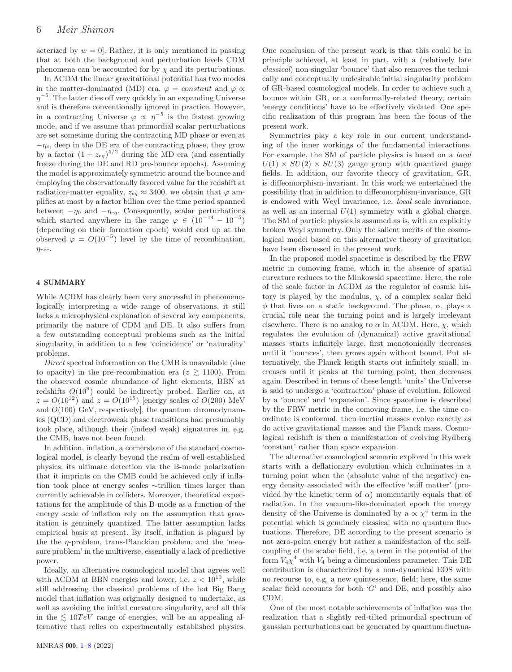acterized by  $w = 0$ . Rather, it is only mentioned in passing that at both the background and perturbation levels CDM phenomena can be accounted for by  $\chi$  and its perturbations.

In ΛCDM the linear gravitational potential has two modes in the matter-dominated (MD) era,  $\varphi = constant$  and  $\varphi \propto$  $\eta^{-5}$ . The latter dies off very quickly in an expanding Universe and is therefore conventionally ignored in practice. However, in a contracting Universe  $\varphi \propto \eta^{-5}$  is the fastest growing mode, and if we assume that primordial scalar perturbations are set sometime during the contracting MD phase or even at  $-\eta_c$ , deep in the DE era of the contracting phase, they grow by a factor  $(1 + z_{eq})^{5/2}$  during the MD era (and essentially freeze during the DE and RD pre-bounce epochs). Assuming the model is approximately symmetric around the bounce and employing the observationally favored value for the redshift at radiation-matter equality,  $z_{eq} \approx 3400$ , we obtain that  $\varphi$  amplifies at most by a factor billion over the time period spanned between  $-\eta_0$  and  $-\eta_{eq}$ . Consequently, scalar perturbations which started anywhere in the range  $\varphi \in (10^{-14} - 10^{-5})$ (depending on their formation epoch) would end up at the observed  $\varphi = O(10^{-5})$  level by the time of recombination,  $\eta_{rec}$ .

### 4 SUMMARY

While ΛCDM has clearly been very successful in phenomenologically interpreting a wide range of observations, it still lacks a microphysical explanation of several key components, primarily the nature of CDM and DE. It also suffers from a few outstanding conceptual problems such as the initial singularity, in addition to a few 'coincidence' or 'naturality' problems.

Direct spectral information on the CMB is unavailable (due to opacity) in the pre-recombination era ( $z \ge 1100$ ). From the observed cosmic abundance of light elements, BBN at redshifts  $O(10^9)$  could be indirectly probed. Earlier on, at  $z = O(10^{12})$  and  $z = O(10^{15})$  [energy scales of  $O(200)$  MeV and  $O(100)$  GeV, respectively, the quantum chromodynamics (QCD) and electroweak phase transitions had presumably took place, although their (indeed weak) signatures in, e.g. the CMB, have not been found.

In addition, inflation, a cornerstone of the standard cosmological model, is clearly beyond the realm of well-established physics; its ultimate detection via the B-mode polarization that it imprints on the CMB could be achieved only if inflation took place at energy scales ∼trillion times larger than currently achievable in colliders. Moreover, theoretical expectations for the amplitude of this B-mode as a function of the energy scale of inflation rely on the assumption that gravitation is genuinely quantized. The latter assumption lacks empirical basis at present. By itself, inflation is plagued by the the  $\eta$ -problem, trans-Planckian problem, and the 'measure problem' in the multiverse, essentially a lack of predictive power.

Ideally, an alternative cosmological model that agrees well with  $\Lambda$ CDM at BBN energies and lower, i.e.  $z < 10^{10}$ , while still addressing the classical problems of the hot Big Bang model that inflation was originally designed to undertake, as well as avoiding the initial curvature singularity, and all this in the  $\leq 10 TeV$  range of energies, will be an appealing alternative that relies on experimentally established physics. One conclusion of the present work is that this could be in principle achieved, at least in part, with a (relatively late classical) non-singular 'bounce' that also removes the technically and conceptually undesirable initial singularity problem of GR-based cosmological models. In order to achieve such a bounce within GR, or a conformally-related theory, certain 'energy conditions' have to be effectively violated. One specific realization of this program has been the focus of the present work.

Symmetries play a key role in our current understanding of the inner workings of the fundamental interactions. For example, the SM of particle physics is based on a local  $U(1) \times SU(2) \times SU(3)$  gauge group with quantized gauge fields. In addition, our favorite theory of gravitation, GR, is diffeomorphism-invariant. In this work we entertained the possibility that in addition to diffeomorphism-invariance, GR is endowed with Weyl invariance, i.e. local scale invariance, as well as an internal  $U(1)$  symmetry with a global charge. The SM of particle physics is assumed as is, with an explicitly broken Weyl symmetry. Only the salient merits of the cosmological model based on this alternative theory of gravitation have been discussed in the present work.

In the proposed model spacetime is described by the FRW metric in comoving frame, which in the absence of spatial curvature reduces to the Minkowski spacetime. Here, the role of the scale factor in ΛCDM as the regulator of cosmic history is played by the modulus,  $\chi$ , of a complex scalar field  $\phi$  that lives on a static background. The phase,  $\alpha$ , plays a crucial role near the turning point and is largely irrelevant elsewhere. There is no analog to  $\alpha$  in  $\Lambda$ CDM. Here,  $\chi$ , which regulates the evolution of (dynamical) active gravitational masses starts infinitely large, first monotonically decreases until it 'bounces', then grows again without bound. Put alternatively, the Planck length starts out infinitely small, increases until it peaks at the turning point, then decreases again. Described in terms of these length 'units' the Universe is said to undergo a 'contraction' phase of evolution, followed by a 'bounce' and 'expansion'. Since spacetime is described by the FRW metric in the comoving frame, i.e. the time coordinate is conformal, then inertial masses evolve exactly as do active gravitational masses and the Planck mass. Cosmological redshift is then a manifestation of evolving Rydberg 'constant' rather than space expansion.

The alternative cosmological scenario explored in this work starts with a deflationary evolution which culminates in a turning point when the (absolute value of the negative) energy density associated with the effective 'stiff matter' (provided by the kinetic term of  $\alpha$ ) momentarily equals that of radiation. In the vacuum-like-dominated epoch the energy density of the Universe is dominated by a  $\propto \chi^4$  term in the potential which is genuinely classical with no quantum fluctuations. Therefore, DE according to the present scenario is not zero-point energy but rather a manifestation of the selfcoupling of the scalar field, i.e. a term in the potential of the form  $V_4 \chi^4$  with  $V_4$  being a dimensionless parameter. This DE contribution is characterized by a non-dynamical EOS with no recourse to, e.g. a new quintessence, field; here, the same scalar field accounts for both  $G'$  and DE, and possibly also CDM.

One of the most notable achievements of inflation was the realization that a slightly red-tilted primordial spectrum of gaussian perturbations can be generated by quantum fluctua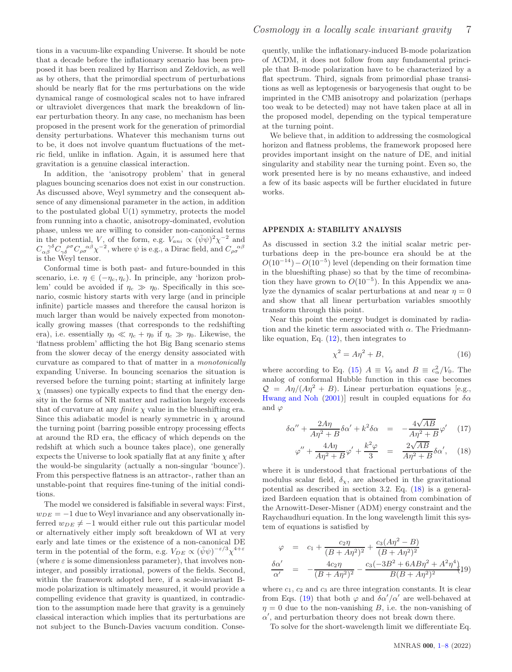tions in a vacuum-like expanding Universe. It should be note that a decade before the inflationary scenario has been proposed it has been realized by Harrison and Zeldovich, as well as by others, that the primordial spectrum of perturbations should be nearly flat for the rms perturbations on the wide dynamical range of cosmological scales not to have infrared or ultraviolet divergences that mark the breakdown of linear perturbation theory. In any case, no mechanism has been proposed in the present work for the generation of primordial density perturbations. Whatever this mechanism turns out to be, it does not involve quantum fluctuations of the metric field, unlike in inflation. Again, it is assumed here that gravitation is a genuine classical interaction.

In addition, the 'anisotropy problem' that in general plagues bouncing scenarios does not exist in our construction. As discussed above, Weyl symmetry and the consequent absence of any dimensional parameter in the action, in addition to the postulated global  $U(1)$  symmetry, protects the model from running into a chaotic, anisotropy-dominated, evolution phase, unless we are willing to consider non-canonical terms in the potential, V, of the form, e.g.  $V_{ani} \propto (\bar{\psi}\psi)^2 \chi^{-2}$  and  $C_{\alpha\beta}^{\ \ \gamma\delta}C_{\gamma\delta}^{\ \ \rho\sigma}C_{\rho\sigma}^{\ \ \alpha\beta}\chi^{-2}$ , where  $\psi$  is e.g., a Dirac field, and  $C_{\rho\sigma}^{\ \ \alpha\beta}$  is the Weyl tensor.

Conformal time is both past- and future-bounded in this scenario, i.e.  $\eta \in (-\eta_c, \eta_c)$ . In principle, any 'horizon problem' could be avoided if  $\eta_c \gg \eta_0$ . Specifically in this scenario, cosmic history starts with very large (and in principle infinite) particle masses and therefore the causal horizon is much larger than would be naively expected from monotonically growing masses (that corresponds to the redshifting era), i.e. essentially  $\eta_0 \ll \eta_c + \eta_0$  if  $\eta_c \gg \eta_0$ . Likewise, the 'flatness problem' afflicting the hot Big Bang scenario stems from the slower decay of the energy density associated with curvature as compared to that of matter in a monotonically expanding Universe. In bouncing scenarios the situation is reversed before the turning point; starting at infinitely large  $\chi$  (masses) one typically expects to find that the energy density in the forms of NR matter and radiation largely exceeds that of curvature at any *finite*  $\chi$  value in the blueshifting era. Since this adiabatic model is nearly symmetric in  $\chi$  around the turning point (barring possible entropy processing effects at around the RD era, the efficacy of which depends on the redshift at which such a bounce takes place), one generally expects the Universe to look spatially flat at any finite  $\chi$  after the would-be singularity (actually a non-singular 'bounce'). From this perspective flatness is an attractor-, rather than an unstable-point that requires fine-tuning of the initial conditions.

The model we considered is falsifiable in several ways: First,  $w_{DE} = -1$  due to Weyl invariance and any observationally inferred  $w_{DE} \neq -1$  would either rule out this particular model or alternatively either imply soft breakdown of WI at very early and late times or the existence of a non-canonical DE term in the potential of the form, e.g.  $V_{DE} \propto (\bar{\psi}\psi)^{-\varepsilon/3} \chi^{4+\varepsilon}$ (where  $\varepsilon$  is some dimensionless parameter), that involves noninteger, and possibly irrational, powers of the fields. Second, within the framework adopted here, if a scale-invariant Bmode polarization is ultimately measured, it would provide a compelling evidence that gravity is quantized, in contradiction to the assumption made here that gravity is a genuinely classical interaction which implies that its perturbations are not subject to the Bunch-Davies vacuum condition. Consequently, unlike the inflationary-induced B-mode polarization of ΛCDM, it does not follow from any fundamental principle that B-mode polarization have to be characterized by a flat spectrum. Third, signals from primordial phase transitions as well as leptogenesis or baryogenesis that ought to be imprinted in the CMB anisotropy and polarization (perhaps too weak to be detected) may not have taken place at all in the proposed model, depending on the typical temperature at the turning point.

We believe that, in addition to addressing the cosmological horizon and flatness problems, the framework proposed here provides important insight on the nature of DE, and initial singularity and stability near the turning point. Even so, the work presented here is by no means exhaustive, and indeed a few of its basic aspects will be further elucidated in future works.

#### APPENDIX A: STABILITY ANALYSIS

As discussed in section 3.2 the initial scalar metric perturbations deep in the pre-bounce era should be at the  $O(10^{-14}) - O(10^{-5})$  level (depending on their formation time in the blueshifting phase) so that by the time of recombination they have grown to  $O(10^{-5})$ . In this Appendix we analyze the dynamics of scalar perturbations at and near  $n = 0$ and show that all linear perturbation variables smoothly transform through this point.

Near this point the energy budget is dominated by radiation and the kinetic term associated with  $\alpha$ . The Friedmannlike equation, Eq. [\(12\)](#page-3-1), then integrates to

$$
\chi^2 = A\eta^2 + B,\tag{16}
$$

where according to Eq. [\(15\)](#page-3-4)  $A \equiv V_0$  and  $B \equiv c_\alpha^2/V_0$ . The analog of conformal Hubble function in this case becomes  $\mathcal{Q} = A\eta/(A\eta^2 + B)$ . Linear perturbation equations [e.g., Hwang and Noh (2001)] result in coupled equations for  $\delta \alpha$ and  $\varphi$ 

<span id="page-6-0"></span>
$$
\delta \alpha'' + \frac{2A\eta}{A\eta^2 + B} \delta \alpha' + k^2 \delta \alpha = -\frac{4\sqrt{AB}}{A\eta^2 + B} \varphi' \quad (17)
$$

$$
\varphi'' + \frac{4A\eta}{A\eta^2 + B}\varphi' + \frac{k^2\varphi}{3} = \frac{2\sqrt{AB}}{A\eta^2 + B}\delta\alpha', \quad (18)
$$

where it is understood that fractional perturbations of the modulus scalar field,  $\delta_{\chi}$ , are absorbed in the gravitational potential as described in section 3.2. Eq. [\(18\)](#page-6-0) is a generalized Bardeen equation that is obtained from combination of the Arnowitt-Deser-Misner (ADM) energy constraint and the Raychaudhuri equation. In the long wavelength limit this system of equations is satisfied by

<span id="page-6-1"></span>
$$
\varphi = c_1 + \frac{c_2 \eta}{(B + A\eta^2)^2} + \frac{c_3(A\eta^2 - B)}{(B + A\eta^2)^2}
$$
  

$$
\frac{\delta \alpha'}{\alpha'} = -\frac{4c_2 \eta}{(B + A\eta^2)^2} - \frac{c_3(-3B^2 + 6AB\eta^2 + A^2\eta^4)}{B(B + A\eta^2)^2} (19)
$$

where  $c_1$ ,  $c_2$  and  $c_3$  are three integration constants. It is clear from Eqs. [\(19\)](#page-6-1) that both  $\varphi$  and  $\delta \alpha'/\alpha'$  are well-behaved at  $\eta = 0$  due to the non-vanishing B, i.e. the non-vanishing of  $\alpha'$ , and perturbation theory does not break down there.

To solve for the short-wavelength limit we differentiate Eq.